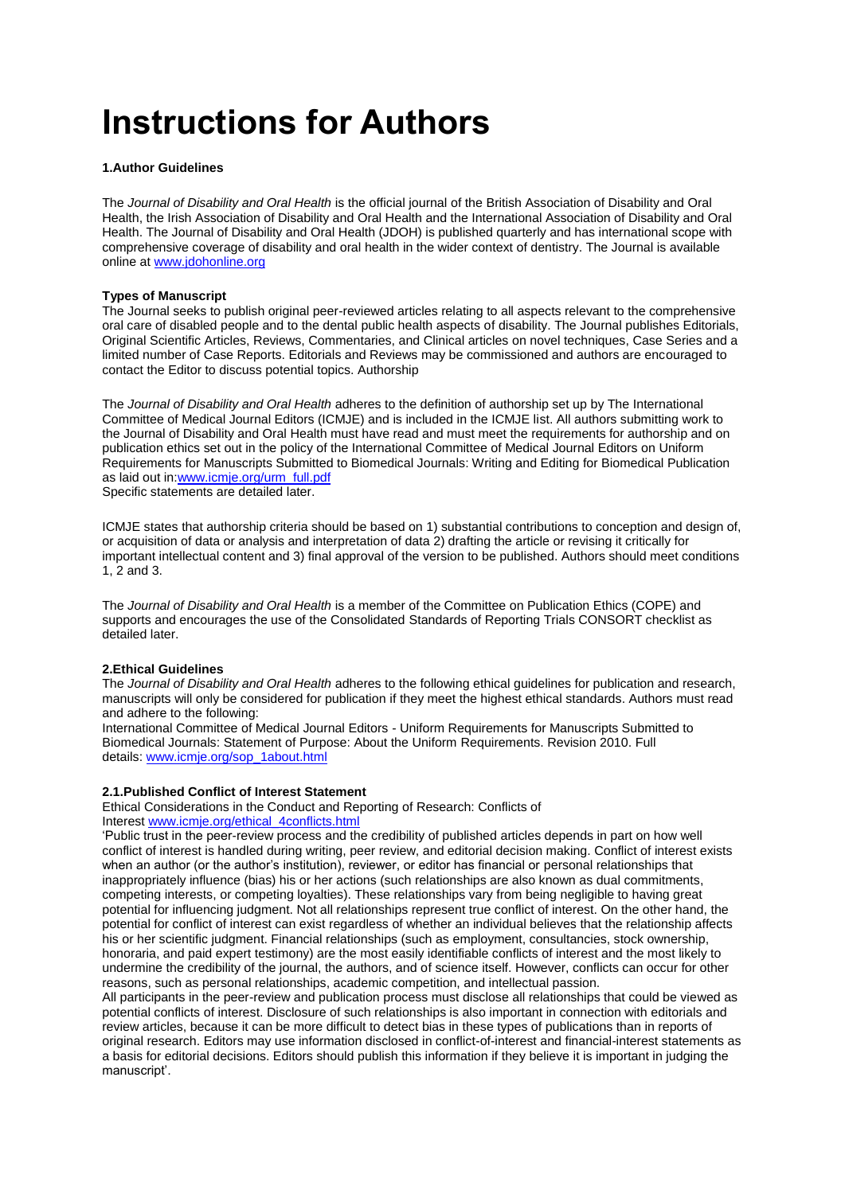# **Instructions for Authors**

# **1.Author Guidelines**

The *Journal of Disability and Oral Health* is the official journal of the British Association of Disability and Oral Health, the Irish Association of Disability and Oral Health and the International Association of Disability and Oral Health. The Journal of Disability and Oral Health (JDOH) is published quarterly and has international scope with comprehensive coverage of disability and oral health in the wider context of dentistry. The Journal is available online at [www.jdohonline.org](http://www.jdohonline.org/)

# **Types of Manuscript**

The Journal seeks to publish original peer-reviewed articles relating to all aspects relevant to the comprehensive oral care of disabled people and to the dental public health aspects of disability. The Journal publishes Editorials, Original Scientific Articles, Reviews, Commentaries, and Clinical articles on novel techniques, Case Series and a limited number of Case Reports. Editorials and Reviews may be commissioned and authors are encouraged to contact the Editor to discuss potential topics. Authorship

The *Journal of Disability and Oral Health* adheres to the definition of authorship set up by The International Committee of Medical Journal Editors (ICMJE) and is included in the ICMJE list. All authors submitting work to the Journal of Disability and Oral Health must have read and must meet the requirements for authorship and on publication ethics set out in the policy of the International Committee of Medical Journal Editors on Uniform Requirements for Manuscripts Submitted to Biomedical Journals: Writing and Editing for Biomedical Publication as laid out in[:www.icmje.org/urm\\_full.pdf](http://www.icmje.org/urm_full.pdf) Specific statements are detailed later.

ICMJE states that authorship criteria should be based on 1) substantial contributions to conception and design of, or acquisition of data or analysis and interpretation of data 2) drafting the article or revising it critically for important intellectual content and 3) final approval of the version to be published. Authors should meet conditions 1, 2 and 3.

The *Journal of Disability and Oral Health* is a member of the Committee on Publication Ethics (COPE) and supports and encourages the use of the Consolidated Standards of Reporting Trials CONSORT checklist as detailed later.

#### **2.Ethical Guidelines**

The *Journal of Disability and Oral Health* adheres to the following ethical guidelines for publication and research, manuscripts will only be considered for publication if they meet the highest ethical standards. Authors must read and adhere to the following:

International Committee of Medical Journal Editors - Uniform Requirements for Manuscripts Submitted to Biomedical Journals: Statement of Purpose: About the Uniform Requirements. Revision 2010. Full details: [www.icmje.org/sop\\_1about.html](http://www.icmje.org/sop_1about.html)

#### **2.1.Published Conflict of Interest Statement**

Ethical Considerations in the Conduct and Reporting of Research: Conflicts of

# Interest [www.icmje.org/ethical\\_4conflicts.html](http://www.icmje.org/ethical_4conflicts.html)

'Public trust in the peer-review process and the credibility of published articles depends in part on how well conflict of interest is handled during writing, peer review, and editorial decision making. Conflict of interest exists when an author (or the author's institution), reviewer, or editor has financial or personal relationships that inappropriately influence (bias) his or her actions (such relationships are also known as dual commitments, competing interests, or competing loyalties). These relationships vary from being negligible to having great potential for influencing judgment. Not all relationships represent true conflict of interest. On the other hand, the potential for conflict of interest can exist regardless of whether an individual believes that the relationship affects his or her scientific judgment. Financial relationships (such as employment, consultancies, stock ownership, honoraria, and paid expert testimony) are the most easily identifiable conflicts of interest and the most likely to undermine the credibility of the journal, the authors, and of science itself. However, conflicts can occur for other reasons, such as personal relationships, academic competition, and intellectual passion.

All participants in the peer-review and publication process must disclose all relationships that could be viewed as potential conflicts of interest. Disclosure of such relationships is also important in connection with editorials and review articles, because it can be more difficult to detect bias in these types of publications than in reports of original research. Editors may use information disclosed in conflict-of-interest and financial-interest statements as a basis for editorial decisions. Editors should publish this information if they believe it is important in judging the manuscript'.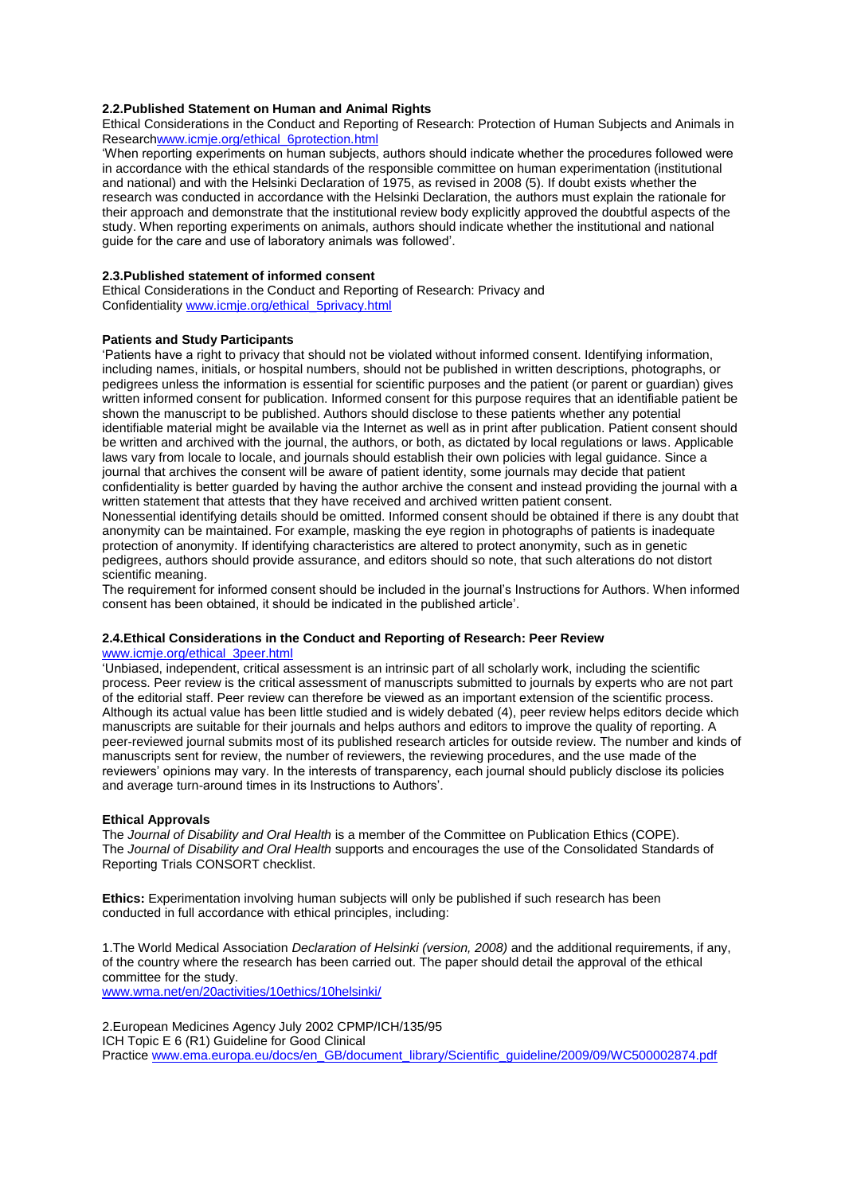#### **2.2.Published Statement on Human and Animal Rights**

Ethical Considerations in the Conduct and Reporting of Research: Protection of Human Subjects and Animals in Researc[hwww.icmje.org/ethical\\_6protection.html](http://www.icmje.org/ethical_6protection.html)

'When reporting experiments on human subjects, authors should indicate whether the procedures followed were in accordance with the ethical standards of the responsible committee on human experimentation (institutional and national) and with the Helsinki Declaration of 1975, as revised in 2008 (5). If doubt exists whether the research was conducted in accordance with the Helsinki Declaration, the authors must explain the rationale for their approach and demonstrate that the institutional review body explicitly approved the doubtful aspects of the study. When reporting experiments on animals, authors should indicate whether the institutional and national guide for the care and use of laboratory animals was followed'.

#### **2.3.Published statement of informed consent**

Ethical Considerations in the Conduct and Reporting of Research: Privacy and Confidentiality [www.icmje.org/ethical\\_5privacy.html](http://www.icmje.org/ethical_5privacy.html)

# **Patients and Study Participants**

'Patients have a right to privacy that should not be violated without informed consent. Identifying information, including names, initials, or hospital numbers, should not be published in written descriptions, photographs, or pedigrees unless the information is essential for scientific purposes and the patient (or parent or guardian) gives written informed consent for publication. Informed consent for this purpose requires that an identifiable patient be shown the manuscript to be published. Authors should disclose to these patients whether any potential identifiable material might be available via the Internet as well as in print after publication. Patient consent should be written and archived with the journal, the authors, or both, as dictated by local regulations or laws. Applicable laws vary from locale to locale, and journals should establish their own policies with legal guidance. Since a journal that archives the consent will be aware of patient identity, some journals may decide that patient confidentiality is better guarded by having the author archive the consent and instead providing the journal with a written statement that attests that they have received and archived written patient consent. Nonessential identifying details should be omitted. Informed consent should be obtained if there is any doubt that

anonymity can be maintained. For example, masking the eye region in photographs of patients is inadequate protection of anonymity. If identifying characteristics are altered to protect anonymity, such as in genetic pedigrees, authors should provide assurance, and editors should so note, that such alterations do not distort scientific meaning.

The requirement for informed consent should be included in the journal's Instructions for Authors. When informed consent has been obtained, it should be indicated in the published article'.

#### **2.4.Ethical Considerations in the Conduct and Reporting of Research: Peer Review**

#### [www.icmje.org/ethical\\_3peer.html](http://www.icmje.org/ethical_3peer.html)

'Unbiased, independent, critical assessment is an intrinsic part of all scholarly work, including the scientific process. Peer review is the critical assessment of manuscripts submitted to journals by experts who are not part of the editorial staff. Peer review can therefore be viewed as an important extension of the scientific process. Although its actual value has been little studied and is widely debated (4), peer review helps editors decide which manuscripts are suitable for their journals and helps authors and editors to improve the quality of reporting. A peer-reviewed journal submits most of its published research articles for outside review. The number and kinds of manuscripts sent for review, the number of reviewers, the reviewing procedures, and the use made of the reviewers' opinions may vary. In the interests of transparency, each journal should publicly disclose its policies and average turn-around times in its Instructions to Authors'.

#### **Ethical Approvals**

The *Journal of Disability and Oral Health* is a member of the Committee on Publication Ethics (COPE). The *Journal of Disability and Oral Health* supports and encourages the use of the Consolidated Standards of Reporting Trials CONSORT checklist.

**Ethics:** Experimentation involving human subjects will only be published if such research has been conducted in full accordance with ethical principles, including:

1.The World Medical Association *Declaration of Helsinki (version, 2008)* and the additional requirements, if any, of the country where the research has been carried out. The paper should detail the approval of the ethical committee for the study.

[www.wma.net/en/20activities/10ethics/10helsinki/](http://www.wma.net/en/20activities/10ethics/10helsinki/)

2.European Medicines Agency July 2002 CPMP/ICH/135/95 ICH Topic E 6 (R1) Guideline for Good Clinical Practice [www.ema.europa.eu/docs/en\\_GB/document\\_library/Scientific\\_guideline/2009/09/WC500002874.pdf](http://www.ema.europa.eu/docs/en_GB/document_library/Scientific_guideline/2009/09/WC500002874.pdf)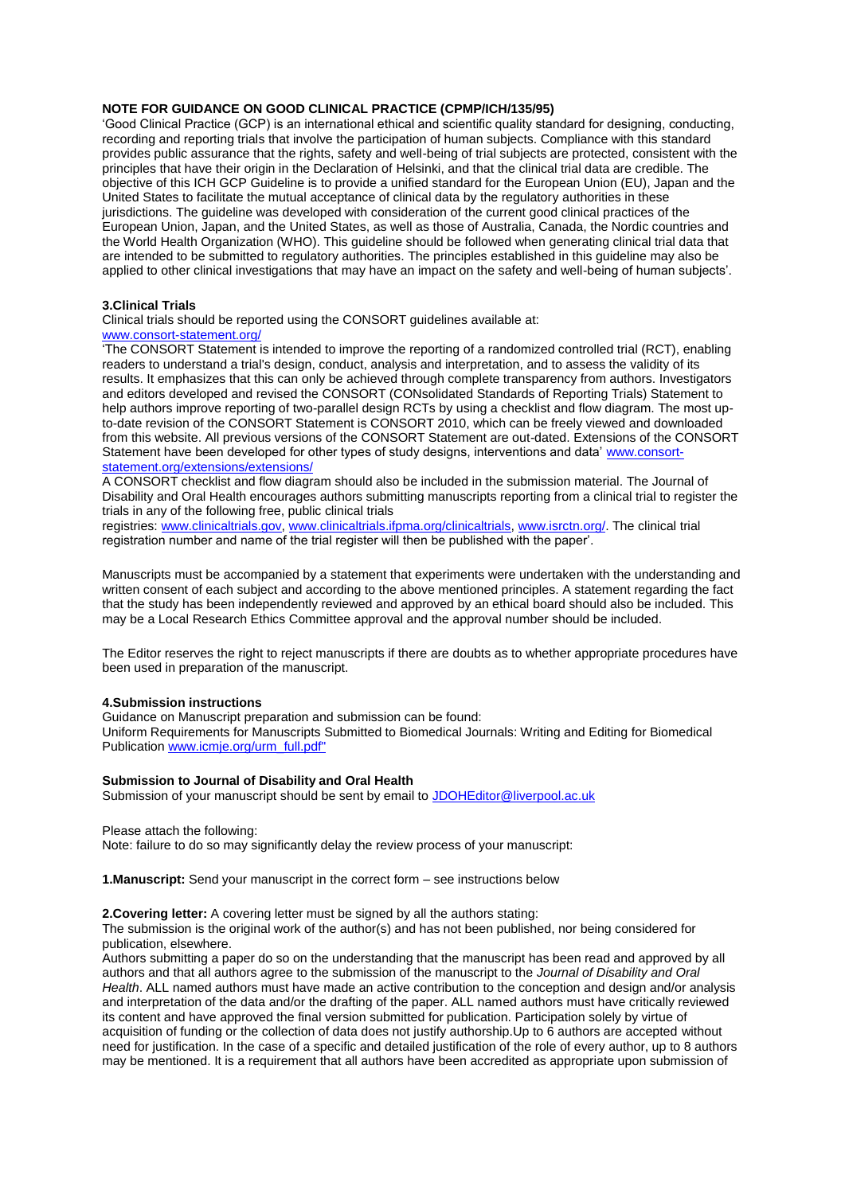## **NOTE FOR GUIDANCE ON GOOD CLINICAL PRACTICE (CPMP/ICH/135/95)**

'Good Clinical Practice (GCP) is an international ethical and scientific quality standard for designing, conducting, recording and reporting trials that involve the participation of human subjects. Compliance with this standard provides public assurance that the rights, safety and well-being of trial subjects are protected, consistent with the principles that have their origin in the Declaration of Helsinki, and that the clinical trial data are credible. The objective of this ICH GCP Guideline is to provide a unified standard for the European Union (EU), Japan and the United States to facilitate the mutual acceptance of clinical data by the regulatory authorities in these jurisdictions. The guideline was developed with consideration of the current good clinical practices of the European Union, Japan, and the United States, as well as those of Australia, Canada, the Nordic countries and the World Health Organization (WHO). This guideline should be followed when generating clinical trial data that are intended to be submitted to regulatory authorities. The principles established in this guideline may also be applied to other clinical investigations that may have an impact on the safety and well-being of human subjects'.

# **3.Clinical Trials**

Clinical trials should be reported using the CONSORT guidelines available at: [www.consort-statement.org/](http://www.consort-statement.org/)

'The CONSORT Statement is intended to improve the reporting of a randomized controlled trial (RCT), enabling readers to understand a trial's design, conduct, analysis and interpretation, and to assess the validity of its results. It emphasizes that this can only be achieved through complete transparency from authors. Investigators and editors developed and revised the CONSORT (CONsolidated Standards of Reporting Trials) Statement to help authors improve reporting of two-parallel design RCTs by using a checklist and flow diagram. The most upto-date revision of the CONSORT Statement is CONSORT 2010, which can be freely viewed and downloaded from this website. All previous versions of the CONSORT Statement are out-dated. Extensions of the CONSORT Statement have been developed for other types of study designs, interventions and data' [www.consort](http://www.consort-statement.org/extensions/extensions/)[statement.org/extensions/extensions/](http://www.consort-statement.org/extensions/extensions/)

A CONSORT checklist and flow diagram should also be included in the submission material. The Journal of Disability and Oral Health encourages authors submitting manuscripts reporting from a clinical trial to register the trials in any of the following free, public clinical trials

registries: [www.clinicaltrials.gov,](http://www.clinicaltrials.gov/) [www.clinicaltrials.ifpma.org/clinicaltrials,](http://clinicaltrials.ifpma.org/clinicaltrials/no_cache/en/myportal/index.htm) [www.isrctn.org/.](http://www.isrctn.org/) The clinical trial registration number and name of the trial register will then be published with the paper'.

Manuscripts must be accompanied by a statement that experiments were undertaken with the understanding and written consent of each subject and according to the above mentioned principles. A statement regarding the fact that the study has been independently reviewed and approved by an ethical board should also be included. This may be a Local Research Ethics Committee approval and the approval number should be included.

The Editor reserves the right to reject manuscripts if there are doubts as to whether appropriate procedures have been used in preparation of the manuscript.

#### **4.Submission instructions**

Guidance on Manuscript preparation and submission can be found:

Uniform Requirements for Manuscripts Submitted to Biomedical Journals: Writing and Editing for Biomedical Publication [www.icmje.org/urm\\_full.pdf"](http://www.icmje.org/urm_full.pdf)

# **Submission to Journal of Disability and Oral Health**

Submission of your manuscript should be sent by email to [JDOHEditor@liverpool.ac.uk](mailto:JDOHEditor@cardiff.ac.uk)

#### Please attach the following:

Note: failure to do so may significantly delay the review process of your manuscript:

**1.Manuscript:** Send your manuscript in the correct form – see instructions below

#### **2.Covering letter:** A covering letter must be signed by all the authors stating:

The submission is the original work of the author(s) and has not been published, nor being considered for publication, elsewhere.

Authors submitting a paper do so on the understanding that the manuscript has been read and approved by all authors and that all authors agree to the submission of the manuscript to the *Journal of Disability and Oral Health*. ALL named authors must have made an active contribution to the conception and design and/or analysis and interpretation of the data and/or the drafting of the paper. ALL named authors must have critically reviewed its content and have approved the final version submitted for publication. Participation solely by virtue of acquisition of funding or the collection of data does not justify authorship.Up to 6 authors are accepted without need for justification. In the case of a specific and detailed justification of the role of every author, up to 8 authors may be mentioned. It is a requirement that all authors have been accredited as appropriate upon submission of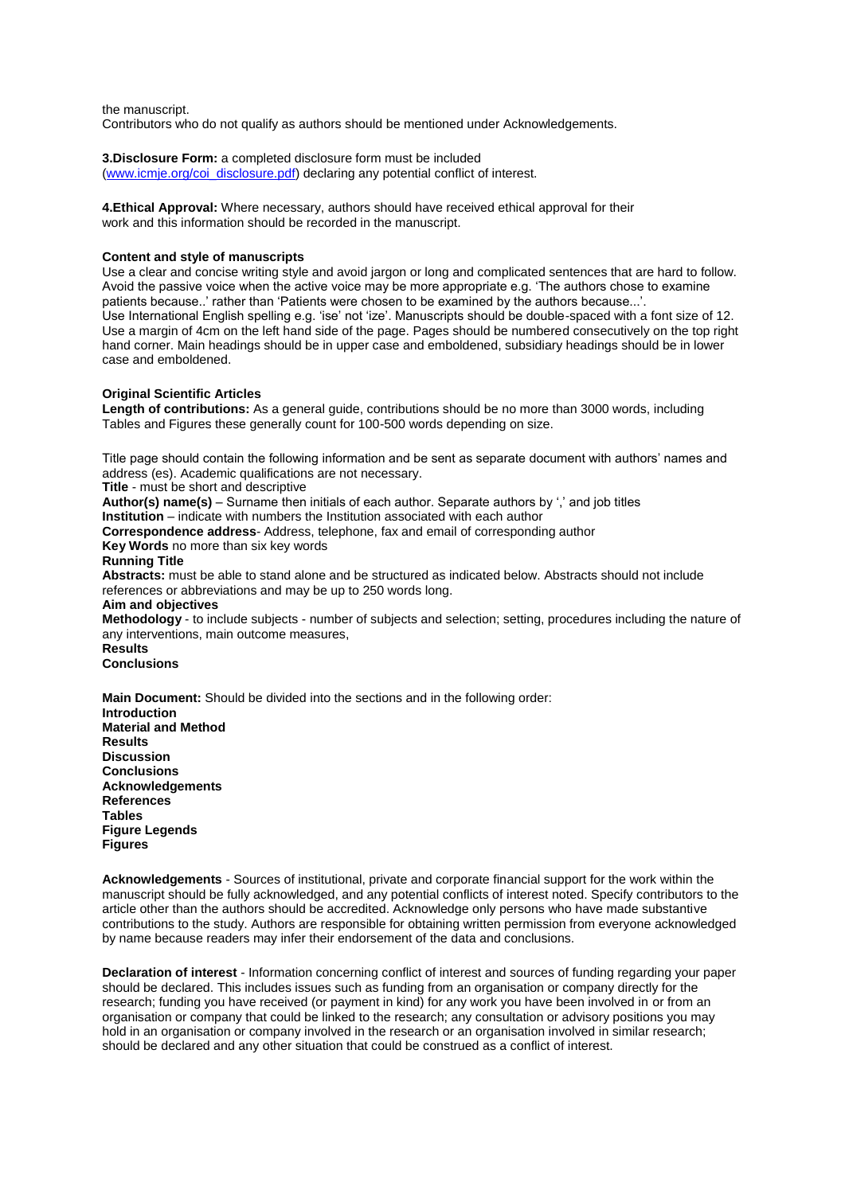the manuscript. Contributors who do not qualify as authors should be mentioned under Acknowledgements.

**3.Disclosure Form:** a completed disclosure form must be included [\(www.icmje.org/coi\\_disclosure.pdf\)](http://www.icmje.org/coi_disclosure.pdf) declaring any potential conflict of interest.

**4.Ethical Approval:** Where necessary, authors should have received ethical approval for their work and this information should be recorded in the manuscript.

#### **Content and style of manuscripts**

Use a clear and concise writing style and avoid jargon or long and complicated sentences that are hard to follow. Avoid the passive voice when the active voice may be more appropriate e.g. 'The authors chose to examine patients because..' rather than 'Patients were chosen to be examined by the authors because...'. Use International English spelling e.g. 'ise' not 'ize'. Manuscripts should be double-spaced with a font size of 12. Use a margin of 4cm on the left hand side of the page. Pages should be numbered consecutively on the top right hand corner. Main headings should be in upper case and emboldened, subsidiary headings should be in lower case and emboldened.

# **Original Scientific Articles**

**Length of contributions:** As a general guide, contributions should be no more than 3000 words, including Tables and Figures these generally count for 100-500 words depending on size.

Title page should contain the following information and be sent as separate document with authors' names and address (es). Academic qualifications are not necessary.

**Title** - must be short and descriptive

**Author(s) name(s)** – Surname then initials of each author. Separate authors by ',' and job titles

**Institution** – indicate with numbers the Institution associated with each author

**Correspondence address**- Address, telephone, fax and email of corresponding author

**Key Words** no more than six key words

#### **Running Title**

**Abstracts:** must be able to stand alone and be structured as indicated below. Abstracts should not include references or abbreviations and may be up to 250 words long.

#### **Aim and objectives**

**Methodology** - to include subjects - number of subjects and selection; setting, procedures including the nature of any interventions, main outcome measures,

**Results Conclusions**

**Main Document:** Should be divided into the sections and in the following order:

**Introduction Material and Method Results Discussion Conclusions Acknowledgements References Tables Figure Legends Figures**

**Acknowledgements** - Sources of institutional, private and corporate financial support for the work within the manuscript should be fully acknowledged, and any potential conflicts of interest noted. Specify contributors to the article other than the authors should be accredited. Acknowledge only persons who have made substantive contributions to the study. Authors are responsible for obtaining written permission from everyone acknowledged by name because readers may infer their endorsement of the data and conclusions.

**Declaration of interest** - Information concerning conflict of interest and sources of funding regarding your paper should be declared. This includes issues such as funding from an organisation or company directly for the research; funding you have received (or payment in kind) for any work you have been involved in or from an organisation or company that could be linked to the research; any consultation or advisory positions you may hold in an organisation or company involved in the research or an organisation involved in similar research; should be declared and any other situation that could be construed as a conflict of interest.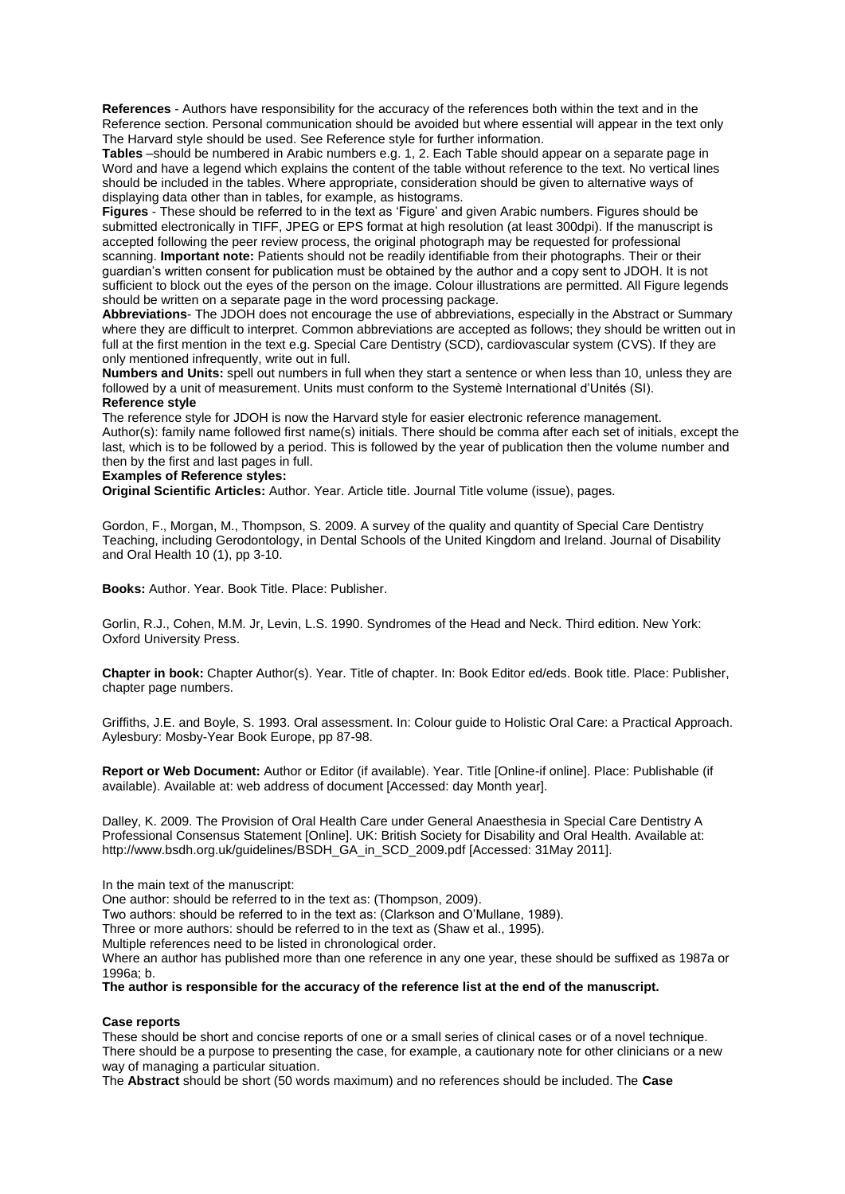**References** - Authors have responsibility for the accuracy of the references both within the text and in the Reference section. Personal communication should be avoided but where essential will appear in the text only The Harvard style should be used. See Reference style for further information.

**Tables** –should be numbered in Arabic numbers e.g. 1, 2. Each Table should appear on a separate page in Word and have a legend which explains the content of the table without reference to the text. No vertical lines should be included in the tables. Where appropriate, consideration should be given to alternative ways of displaying data other than in tables, for example, as histograms.

**Figures** - These should be referred to in the text as 'Figure' and given Arabic numbers. Figures should be submitted electronically in TIFF, JPEG or EPS format at high resolution (at least 300dpi). If the manuscript is accepted following the peer review process, the original photograph may be requested for professional scanning. **Important note:** Patients should not be readily identifiable from their photographs. Their or their guardian's written consent for publication must be obtained by the author and a copy sent to JDOH. It is not sufficient to block out the eyes of the person on the image. Colour illustrations are permitted. All Figure legends should be written on a separate page in the word processing package.

**Abbreviations**- The JDOH does not encourage the use of abbreviations, especially in the Abstract or Summary where they are difficult to interpret. Common abbreviations are accepted as follows; they should be written out in full at the first mention in the text e.g. Special Care Dentistry (SCD), cardiovascular system (CVS). If they are only mentioned infrequently, write out in full.

**Numbers and Units:** spell out numbers in full when they start a sentence or when less than 10, unless they are followed by a unit of measurement. Units must conform to the Systemè International d'Unités (SI). **Reference style**

The reference style for JDOH is now the Harvard style for easier electronic reference management. Author(s): family name followed first name(s) initials. There should be comma after each set of initials, except the last, which is to be followed by a period. This is followed by the year of publication then the volume number and then by the first and last pages in full.

# **Examples of Reference styles:**

**Original Scientific Articles:** Author. Year. Article title. Journal Title volume (issue), pages.

Gordon, F., Morgan, M., Thompson, S. 2009. A survey of the quality and quantity of Special Care Dentistry Teaching, including Gerodontology, in Dental Schools of the United Kingdom and Ireland. Journal of Disability and Oral Health  $10(1)$ , pp 3-10.

**Books:** Author. Year. Book Title. Place: Publisher.

Gorlin, R.J., Cohen, M.M. Jr, Levin, L.S. 1990. Syndromes of the Head and Neck. Third edition. New York: Oxford University Press.

**Chapter in book:** Chapter Author(s). Year. Title of chapter. In: Book Editor ed/eds. Book title. Place: Publisher, chapter page numbers.

Griffiths, J.E. and Boyle, S. 1993. Oral assessment. In: Colour guide to Holistic Oral Care: a Practical Approach. Aylesbury: Mosby-Year Book Europe, pp 87-98.

**Report or Web Document:** Author or Editor (if available). Year. Title [Online-if online]. Place: Publishable (if available). Available at: web address of document [Accessed: day Month year].

Dalley, K. 2009. The Provision of Oral Health Care under General Anaesthesia in Special Care Dentistry A Professional Consensus Statement [Online]. UK: British Society for Disability and Oral Health. Available at: http://www.bsdh.org.uk/guidelines/BSDH\_GA\_in\_SCD\_2009.pdf [Accessed: 31May 2011].

In the main text of the manuscript:

One author: should be referred to in the text as: (Thompson, 2009).

Two authors: should be referred to in the text as: (Clarkson and O'Mullane, 1989).

Three or more authors: should be referred to in the text as (Shaw et al., 1995).

Multiple references need to be listed in chronological order.

Where an author has published more than one reference in any one year, these should be suffixed as 1987a or 1996a; b.

**The author is responsible for the accuracy of the reference list at the end of the manuscript.**

#### **Case reports**

These should be short and concise reports of one or a small series of clinical cases or of a novel technique. There should be a purpose to presenting the case, for example, a cautionary note for other clinicians or a new way of managing a particular situation.

The **Abstract** should be short (50 words maximum) and no references should be included. The **Case**